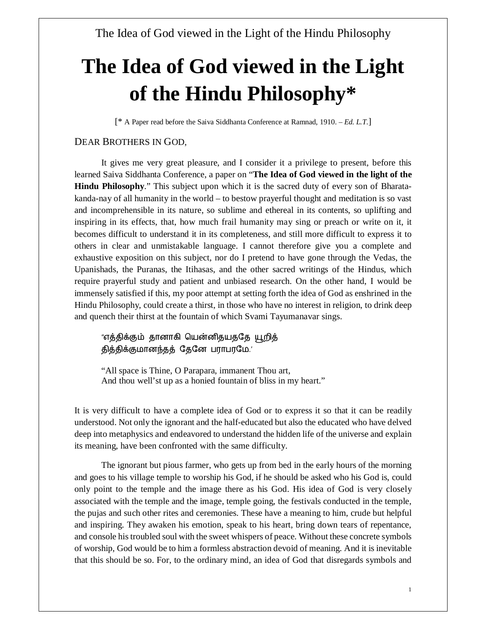[\* A Paper read before the Saiva Siddhanta Conference at Ramnad, 1910. – *Ed. L.T*.]

#### DEAR BROTHERS IN GOD,

It gives me very great pleasure, and I consider it a privilege to present, before this learned Saiva Siddhanta Conference, a paper on "**The Idea of God viewed in the light of the Hindu Philosophy**." This subject upon which it is the sacred duty of every son of Bharatakanda-nay of all humanity in the world – to bestow prayerful thought and meditation is so vast and incomprehensible in its nature, so sublime and ethereal in its contents, so uplifting and inspiring in its effects, that, how much frail humanity may sing or preach or write on it, it becomes difficult to understand it in its completeness, and still more difficult to express it to others in clear and unmistakable language. I cannot therefore give you a complete and exhaustive exposition on this subject, nor do I pretend to have gone through the Vedas, the Upanishads, the Puranas, the Itihasas, and the other sacred writings of the Hindus, which require prayerful study and patient and unbiased research. On the other hand, I would be immensely satisfied if this, my poor attempt at setting forth the idea of God as enshrined in the Hindu Philosophy, could create a thirst, in those who have no interest in religion, to drink deep and quench their thirst at the fountain of which Svami Tayumanavar sings.

"எத்திக்கும் தானாகி யென்னிதயததே யூறித் தித்திக்குமானந்தத் தேனே பராபரமே.'

"All space is Thine, O Parapara, immanent Thou art, And thou well'st up as a honied fountain of bliss in my heart."

It is very difficult to have a complete idea of God or to express it so that it can be readily understood. Not only the ignorant and the half-educated but also the educated who have delved deep into metaphysics and endeavored to understand the hidden life of the universe and explain its meaning, have been confronted with the same difficulty.

The ignorant but pious farmer, who gets up from bed in the early hours of the morning and goes to his village temple to worship his God, if he should be asked who his God is, could only point to the temple and the image there as his God. His idea of God is very closely associated with the temple and the image, temple going, the festivals conducted in the temple, the pujas and such other rites and ceremonies. These have a meaning to him, crude but helpful and inspiring. They awaken his emotion, speak to his heart, bring down tears of repentance, and console his troubled soul with the sweet whispers of peace. Without these concrete symbols of worship, God would be to him a formless abstraction devoid of meaning. And it is inevitable that this should be so. For, to the ordinary mind, an idea of God that disregards symbols and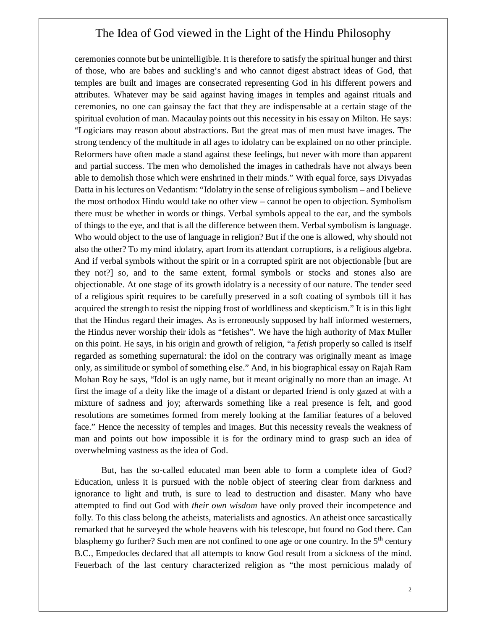ceremonies connote but be unintelligible. It is therefore to satisfy the spiritual hunger and thirst of those, who are babes and suckling's and who cannot digest abstract ideas of God, that temples are built and images are consecrated representing God in his different powers and attributes. Whatever may be said against having images in temples and against rituals and ceremonies, no one can gainsay the fact that they are indispensable at a certain stage of the spiritual evolution of man. Macaulay points out this necessity in his essay on Milton. He says: "Logicians may reason about abstractions. But the great mas of men must have images. The strong tendency of the multitude in all ages to idolatry can be explained on no other principle. Reformers have often made a stand against these feelings, but never with more than apparent and partial success. The men who demolished the images in cathedrals have not always been able to demolish those which were enshrined in their minds." With equal force, says Divyadas Datta in his lectures on Vedantism: "Idolatry in the sense of religious symbolism – and I believe the most orthodox Hindu would take no other view – cannot be open to objection. Symbolism there must be whether in words or things. Verbal symbols appeal to the ear, and the symbols of things to the eye, and that is all the difference between them. Verbal symbolism is language. Who would object to the use of language in religion? But if the one is allowed, why should not also the other? To my mind idolatry, apart from its attendant corruptions, is a religious algebra. And if verbal symbols without the spirit or in a corrupted spirit are not objectionable [but are they not?] so, and to the same extent, formal symbols or stocks and stones also are objectionable. At one stage of its growth idolatry is a necessity of our nature. The tender seed of a religious spirit requires to be carefully preserved in a soft coating of symbols till it has acquired the strength to resist the nipping frost of worldliness and skepticism." It is in this light that the Hindus regard their images. As is erroneously supposed by half informed westerners, the Hindus never worship their idols as "fetishes". We have the high authority of Max Muller on this point. He says, in his origin and growth of religion, "a *fetish* properly so called is itself regarded as something supernatural: the idol on the contrary was originally meant as image only, as similitude or symbol of something else." And, in his biographical essay on Rajah Ram Mohan Roy he says, "Idol is an ugly name, but it meant originally no more than an image. At first the image of a deity like the image of a distant or departed friend is only gazed at with a mixture of sadness and joy; afterwards something like a real presence is felt, and good resolutions are sometimes formed from merely looking at the familiar features of a beloved face." Hence the necessity of temples and images. But this necessity reveals the weakness of man and points out how impossible it is for the ordinary mind to grasp such an idea of overwhelming vastness as the idea of God.

But, has the so-called educated man been able to form a complete idea of God? Education, unless it is pursued with the noble object of steering clear from darkness and ignorance to light and truth, is sure to lead to destruction and disaster. Many who have attempted to find out God with *their own wisdom* have only proved their incompetence and folly. To this class belong the atheists, materialists and agnostics. An atheist once sarcastically remarked that he surveyed the whole heavens with his telescope, but found no God there. Can blasphemy go further? Such men are not confined to one age or one country. In the  $5<sup>th</sup>$  century B.C., Empedocles declared that all attempts to know God result from a sickness of the mind. Feuerbach of the last century characterized religion as "the most pernicious malady of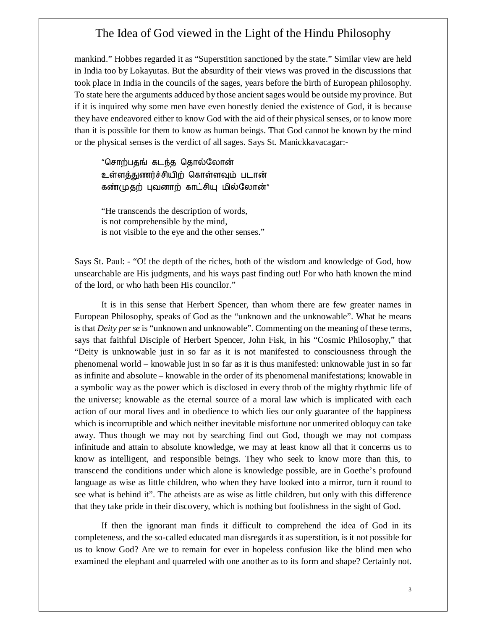mankind." Hobbes regarded it as "Superstition sanctioned by the state." Similar view are held in India too by Lokayutas. But the absurdity of their views was proved in the discussions that took place in India in the councils of the sages, years before the birth of European philosophy. To state here the arguments adduced by those ancient sages would be outside my province. But if it is inquired why some men have even honestly denied the existence of God, it is because they have endeavored either to know God with the aid of their physical senses, or to know more than it is possible for them to know as human beings. That God cannot be known by the mind or the physical senses is the verdict of all sages. Says St. Manickkavacagar:-

"சொற்பதங் கடந்த தொல்லோன் உள்ளத்துணர்ச்சியிற் கொள்ளவும் படான் கண்முதற் புவனாற் காட்சியு மில்லோன்"

"He transcends the description of words, is not comprehensible by the mind, is not visible to the eye and the other senses."

Says St. Paul: - "O! the depth of the riches, both of the wisdom and knowledge of God, how unsearchable are His judgments, and his ways past finding out! For who hath known the mind of the lord, or who hath been His councilor."

It is in this sense that Herbert Spencer, than whom there are few greater names in European Philosophy, speaks of God as the "unknown and the unknowable". What he means is that *Deity per se* is "unknown and unknowable". Commenting on the meaning of these terms, says that faithful Disciple of Herbert Spencer, John Fisk, in his "Cosmic Philosophy," that "Deity is unknowable just in so far as it is not manifested to consciousness through the phenomenal world – knowable just in so far as it is thus manifested: unknowable just in so far as infinite and absolute – knowable in the order of its phenomenal manifestations; knowable in a symbolic way as the power which is disclosed in every throb of the mighty rhythmic life of the universe; knowable as the eternal source of a moral law which is implicated with each action of our moral lives and in obedience to which lies our only guarantee of the happiness which is incorruptible and which neither inevitable misfortune nor unmerited obloquy can take away. Thus though we may not by searching find out God, though we may not compass infinitude and attain to absolute knowledge, we may at least know all that it concerns us to know as intelligent, and responsible beings. They who seek to know more than this, to transcend the conditions under which alone is knowledge possible, are in Goethe's profound language as wise as little children, who when they have looked into a mirror, turn it round to see what is behind it". The atheists are as wise as little children, but only with this difference that they take pride in their discovery, which is nothing but foolishness in the sight of God.

If then the ignorant man finds it difficult to comprehend the idea of God in its completeness, and the so-called educated man disregards it as superstition, is it not possible for us to know God? Are we to remain for ever in hopeless confusion like the blind men who examined the elephant and quarreled with one another as to its form and shape? Certainly not.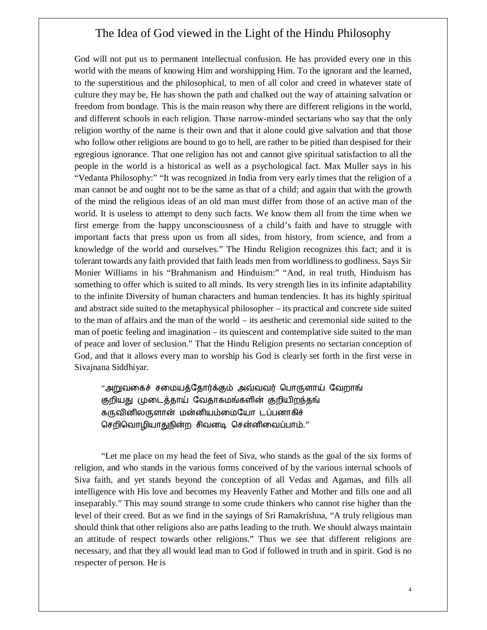God will not put us to permanent intellectual confusion. He has provided every one in this world with the means of knowing Him and worshipping Him. To the ignorant and the learned, to the superstitious and the philosophical, to men of all color and creed in whatever state of culture they may be, He has shown the path and chalked out the way of attaining salvation or freedom from bondage. This is the main reason why there are different religions in the world, and different schools in each religion. Those narrow-minded sectarians who say that the only religion worthy of the name is their own and that it alone could give salvation and that those who follow other religions are bound to go to hell, are rather to be pitied than despised for their egregious ignorance. That one religion has not and cannot give spiritual satisfaction to all the people in the world is a historical as well as a psychological fact. Max Muller says in his "Vedanta Philosophy:" "It was recognized in India from very early times that the religion of a man cannot be and ought not to be the same as that of a child; and again that with the growth of the mind the religious ideas of an old man must differ from those of an active man of the world. It is useless to attempt to deny such facts. We know them all from the time when we first emerge from the happy unconsciousness of a child's faith and have to struggle with important facts that press upon us from all sides, from history, from science, and from a knowledge of the world and ourselves." The Hindu Religion recognizes this fact; and it is tolerant towards any faith provided that faith leads men from worldliness to godliness. Says Sir Monier Williams in his "Brahmanism and Hinduism:" "And, in real truth, Hinduism has something to offer which is suited to all minds. Its very strength lies in its infinite adaptability to the infinite Diversity of human characters and human tendencies. It has its highly spiritual and abstract side suited to the metaphysical philosopher – its practical and concrete side suited to the man of affairs and the man of the world – its aesthetic and ceremonial side suited to the man of poetic feeling and imagination – its quiescent and contemplative side suited to the man of peace and lover of seclusion." That the Hindu Religion presents no sectarian conception of God, and that it allows every man to worship his God is clearly set forth in the first verse in Sivajnana Siddhiyar.

"அறுவகைச் சமையத்தோர்க்கும் அவ்வவர் பொருளாய் வேறாங் குறியது முடைத்தாய் வேதாகமங்களின் குறியிறந்தங் கருவினிலருளான் மன்னியம்மையோ டப்பனாகிச் செறிவொழியாதுநின்ற சிவனடி சென்னிவைப்பாம்."

"Let me place on my head the feet of Siva, who stands as the goal of the six forms of religion, and who stands in the various forms conceived of by the various internal schools of Siva faith, and yet stands beyond the conception of all Vedas and Agamas, and fills all intelligence with His love and becomes my Heavenly Father and Mother and fills one and all inseparably." This may sound strange to some crude thinkers who cannot rise higher than the level of their creed. But as we find in the sayings of Sri Ramakrishna, "A truly religious man should think that other religions also are paths leading to the truth. We should always maintain an attitude of respect towards other religions." Thus we see that different religions are necessary, and that they all would lead man to God if followed in truth and in spirit. God is no respecter of person. He is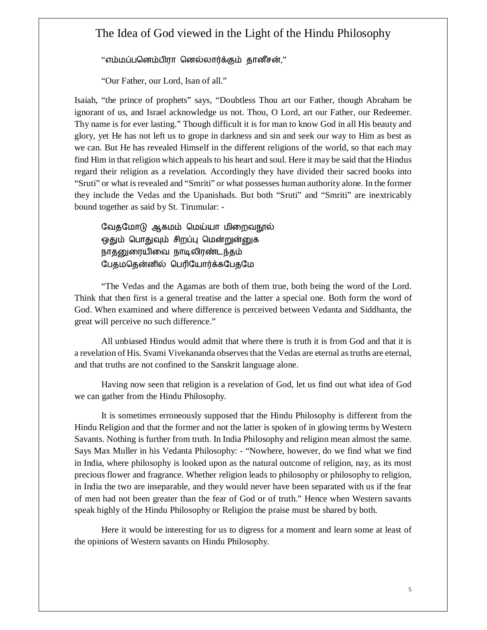#### "எம்மப்பனெம்பிரா னெல்லார்க்கும் தானீசன்,"

"Our Father, our Lord, Isan of all."

Isaiah, "the prince of prophets" says, "Doubtless Thou art our Father, though Abraham be ignorant of us, and Israel acknowledge us not. Thou, O Lord, art our Father, our Redeemer. Thy name is for ever lasting." Though difficult it is for man to know God in all His beauty and glory, yet He has not left us to grope in darkness and sin and seek our way to Him as best as we can. But He has revealed Himself in the different religions of the world, so that each may find Him in that religion which appeals to his heart and soul. Here it may be said that the Hindus regard their religion as a revelation. Accordingly they have divided their sacred books into "Sruti" or what is revealed and "Smriti" or what possesses human authority alone. In the former they include the Vedas and the Upanishads. But both "Sruti" and "Smriti" are inextricably bound together as said by St. Tirumular: -

வேதமோடு ஆகமம் மெய்யா மிறைவநூல் ஒதும் பொதுவும் சிறப்பு மென்றுன்னுக நாதனுரையிவை நாடிலிரண்டந்தம் பேதமதென்னில் பெரியோர்க்கபேதமே

"The Vedas and the Agamas are both of them true, both being the word of the Lord. Think that then first is a general treatise and the latter a special one. Both form the word of God. When examined and where difference is perceived between Vedanta and Siddhanta, the great will perceive no such difference."

All unbiased Hindus would admit that where there is truth it is from God and that it is a revelation of His. Svami Vivekananda observes that the Vedas are eternal as truths are eternal, and that truths are not confined to the Sanskrit language alone.

Having now seen that religion is a revelation of God, let us find out what idea of God we can gather from the Hindu Philosophy.

It is sometimes erroneously supposed that the Hindu Philosophy is different from the Hindu Religion and that the former and not the latter is spoken of in glowing terms by Western Savants. Nothing is further from truth. In India Philosophy and religion mean almost the same. Says Max Muller in his Vedanta Philosophy: - "Nowhere, however, do we find what we find in India, where philosophy is looked upon as the natural outcome of religion, nay, as its most precious flower and fragrance. Whether religion leads to philosophy or philosophy to religion, in India the two are inseparable, and they would never have been separated with us if the fear of men had not been greater than the fear of God or of truth." Hence when Western savants speak highly of the Hindu Philosophy or Religion the praise must be shared by both.

Here it would be interesting for us to digress for a moment and learn some at least of the opinions of Western savants on Hindu Philosophy.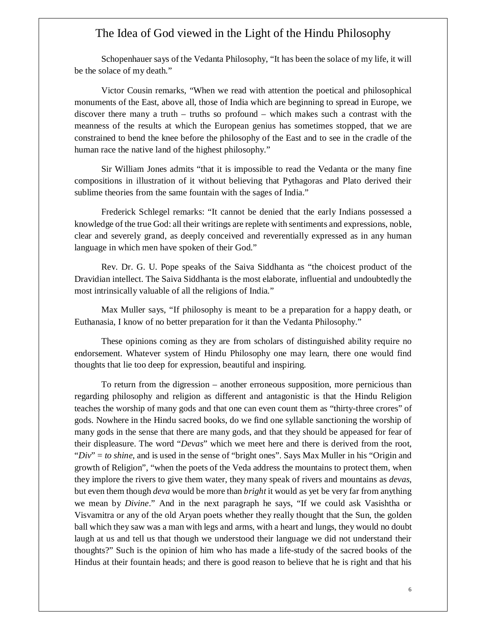Schopenhauer says of the Vedanta Philosophy, "It has been the solace of my life, it will be the solace of my death."

Victor Cousin remarks, "When we read with attention the poetical and philosophical monuments of the East, above all, those of India which are beginning to spread in Europe, we discover there many a truth – truths so profound – which makes such a contrast with the meanness of the results at which the European genius has sometimes stopped, that we are constrained to bend the knee before the philosophy of the East and to see in the cradle of the human race the native land of the highest philosophy."

Sir William Jones admits "that it is impossible to read the Vedanta or the many fine compositions in illustration of it without believing that Pythagoras and Plato derived their sublime theories from the same fountain with the sages of India."

Frederick Schlegel remarks: "It cannot be denied that the early Indians possessed a knowledge of the true God: all their writings are replete with sentiments and expressions, noble, clear and severely grand, as deeply conceived and reverentially expressed as in any human language in which men have spoken of their God."

Rev. Dr. G. U. Pope speaks of the Saiva Siddhanta as "the choicest product of the Dravidian intellect. The Saiva Siddhanta is the most elaborate, influential and undoubtedly the most intrinsically valuable of all the religions of India."

Max Muller says, "If philosophy is meant to be a preparation for a happy death, or Euthanasia, I know of no better preparation for it than the Vedanta Philosophy."

These opinions coming as they are from scholars of distinguished ability require no endorsement. Whatever system of Hindu Philosophy one may learn, there one would find thoughts that lie too deep for expression, beautiful and inspiring.

To return from the digression – another erroneous supposition, more pernicious than regarding philosophy and religion as different and antagonistic is that the Hindu Religion teaches the worship of many gods and that one can even count them as "thirty-three crores" of gods. Nowhere in the Hindu sacred books, do we find one syllable sanctioning the worship of many gods in the sense that there are many gods, and that they should be appeased for fear of their displeasure. The word "*Devas*" which we meet here and there is derived from the root, "*Div*" = *to shine*, and is used in the sense of "bright ones". Says Max Muller in his "Origin and growth of Religion", "when the poets of the Veda address the mountains to protect them, when they implore the rivers to give them water, they many speak of rivers and mountains as *devas*, but even them though *deva* would be more than *bright* it would as yet be very far from anything we mean by *Divine*." And in the next paragraph he says, "If we could ask Vasishtha or Visvamitra or any of the old Aryan poets whether they really thought that the Sun, the golden ball which they saw was a man with legs and arms, with a heart and lungs, they would no doubt laugh at us and tell us that though we understood their language we did not understand their thoughts?" Such is the opinion of him who has made a life-study of the sacred books of the Hindus at their fountain heads; and there is good reason to believe that he is right and that his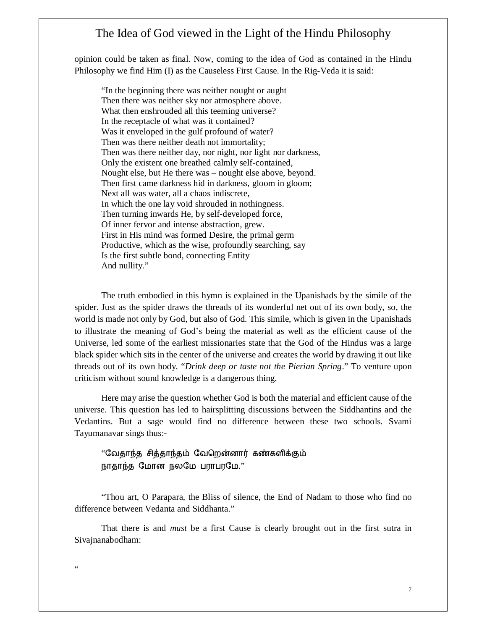opinion could be taken as final. Now, coming to the idea of God as contained in the Hindu Philosophy we find Him (I) as the Causeless First Cause. In the Rig-Veda it is said:

"In the beginning there was neither nought or aught Then there was neither sky nor atmosphere above. What then enshrouded all this teeming universe? In the receptacle of what was it contained? Was it enveloped in the gulf profound of water? Then was there neither death not immortality; Then was there neither day, nor night, nor light nor darkness, Only the existent one breathed calmly self-contained, Nought else, but He there was – nought else above, beyond. Then first came darkness hid in darkness, gloom in gloom; Next all was water, all a chaos indiscrete, In which the one lay void shrouded in nothingness. Then turning inwards He, by self-developed force, Of inner fervor and intense abstraction, grew. First in His mind was formed Desire, the primal germ Productive, which as the wise, profoundly searching, say Is the first subtle bond, connecting Entity And nullity."

The truth embodied in this hymn is explained in the Upanishads by the simile of the spider. Just as the spider draws the threads of its wonderful net out of its own body, so, the world is made not only by God, but also of God. This simile, which is given in the Upanishads to illustrate the meaning of God's being the material as well as the efficient cause of the Universe, led some of the earliest missionaries state that the God of the Hindus was a large black spider which sits in the center of the universe and creates the world by drawing it out like threads out of its own body. "*Drink deep or taste not the Pierian Spring*." To venture upon criticism without sound knowledge is a dangerous thing.

Here may arise the question whether God is both the material and efficient cause of the universe. This question has led to hairsplitting discussions between the Siddhantins and the Vedantins. But a sage would find no difference between these two schools. Svami Tayumanavar sings thus:-

"வேதாந்த சித்தாந்தம் வேறென்னார் கண்களிக்கும் நாதாந்த மோன நலமே பராபரமே."

"Thou art, O Parapara, the Bliss of silence, the End of Nadam to those who find no difference between Vedanta and Siddhanta."

That there is and *must* be a first Cause is clearly brought out in the first sutra in Sivajnanabodham:

 $\epsilon$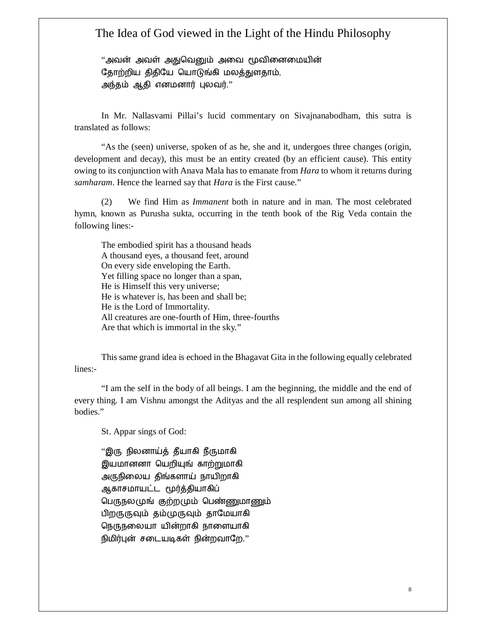"அவன் அவள் அதுவெனும் அவை மூவினைமையின் தோற்றிய திதியே யொடுங்கி மலத்துளதாம், அந்தம் ஆதி எனமனார் புலவர்."

In Mr. Nallasvami Pillai's lucid commentary on Sivajnanabodham, this sutra is translated as follows:

"As the (seen) universe, spoken of as he, she and it, undergoes three changes (origin, development and decay), this must be an entity created (by an efficient cause). This entity owing to its conjunction with Anava Mala has to emanate from *Hara* to whom it returns during *samharam*. Hence the learned say that *Hara* is the First cause."

(2) We find Him as *Immanent* both in nature and in man. The most celebrated hymn, known as Purusha sukta, occurring in the tenth book of the Rig Veda contain the following lines:-

The embodied spirit has a thousand heads A thousand eyes, a thousand feet, around On every side enveloping the Earth. Yet filling space no longer than a span, He is Himself this very universe; He is whatever is, has been and shall be; He is the Lord of Immortality. All creatures are one-fourth of Him, three-fourths Are that which is immortal in the sky."

This same grand idea is echoed in the Bhagavat Gita in the following equally celebrated lines:-

"I am the self in the body of all beings. I am the beginning, the middle and the end of every thing. I am Vishnu amongst the Adityas and the all resplendent sun among all shining bodies."

St. Appar sings of God:

''இரு நிலனாய்த் தீயாகி நீருமாகி இயமானனா யெறியுங் காற்றுமாகி அருநிலைய திங்களாய் நாயிறாகி ஆகாசமாயட்ட மூர்த்தியாகிப் பெருநலமுங் குற்றமும் பெண்ணுமாணும் பிறருருவும் தம்முருவும் தாமேயாகி நெருநலையா யின்றாகி நாளையாகி நிமிர்புன் சடையடிகள் நின்றவாறே."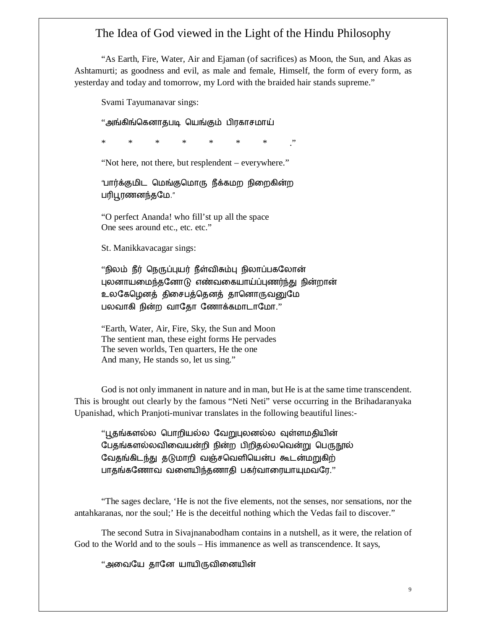"As Earth, Fire, Water, Air and Ejaman (of sacrifices) as Moon, the Sun, and Akas as Ashtamurti; as goodness and evil, as male and female, Himself, the form of every form, as yesterday and today and tomorrow, my Lord with the braided hair stands supreme."

Svami Tayumanavar sings:

"அங்கிங்கெனாதபடி யெங்கும் பிரகாசமாய்

\* \* \* \* \* \* \* ."

"Not here, not there, but resplendent – everywhere."

"பார்க்குமிட மெங்குமொரு நீக்கமற நிறைகின்ற பரிபூரணனந்தமே."

"O perfect Ananda! who fill'st up all the space One sees around etc., etc. etc."

St. Manikkavacagar sings:

"நிலம் நீர் நெருப்புயர் நீள்விசும்பு நிலாப்பகலோன் புலனாயமைந்தனோடு எண்வகையாய்ப்புணர்ந்து நின்றான் உலகேழெனத் திசைபத்தெனத் தானொருவனுமே பலவாகி நின்ற வாதோ ணோக்கமாடாமோ."

"Earth, Water, Air, Fire, Sky, the Sun and Moon The sentient man, these eight forms He pervades The seven worlds, Ten quarters, He the one And many, He stands so, let us sing."

God is not only immanent in nature and in man, but He is at the same time transcendent. This is brought out clearly by the famous "Neti Neti" verse occurring in the Brihadaranyaka Upanishad, which Pranjoti-munivar translates in the following beautiful lines:-

"பூதங்களல்ல பொறியல்ல வேறுபுலனல்ல வுள்ளமதியின் பேதங்களல்லவிவையன்றி நின்ற பிறிதல்லவென்று பெருநூல் வேதங்கிடந்து தடுமாறி வஞ்சவெளியென்ப கூடன்மறுகிற் பாதங்கணோவ வளையிந்தணாதி பகர்வாரையாயுமவரே."

"The sages declare, 'He is not the five elements, not the senses, nor sensations, nor the antahkaranas, nor the soul;' He is the deceitful nothing which the Vedas fail to discover."

The second Sutra in Sivajnanabodham contains in a nutshell, as it were, the relation of God to the World and to the souls – His immanence as well as transcendence. It says,

"அவையே தானே யாயிருவினையின்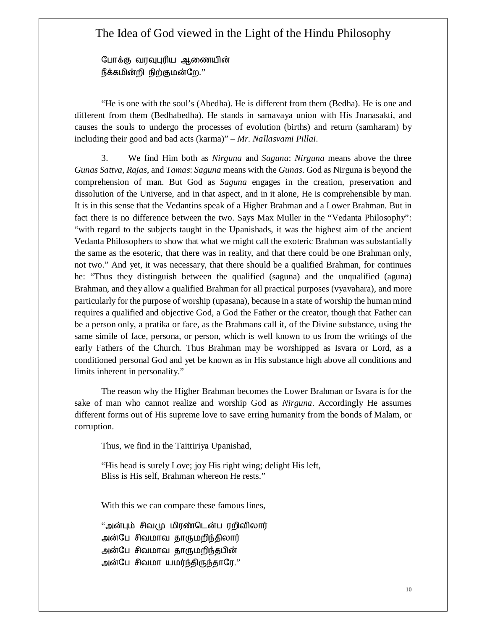போக்கு வரவுபுரிய ஆணையின் நீக்கமின்றி நிற்குமன்றே."

"He is one with the soul's (Abedha). He is different from them (Bedha). He is one and different from them (Bedhabedha). He stands in samavaya union with His Jnanasakti, and causes the souls to undergo the processes of evolution (births) and return (samharam) by including their good and bad acts (karma)" – *Mr. Nallasvami Pillai*.

3. We find Him both as *Nirguna* and *Saguna*: *Nirguna* means above the three *Gunas Sattva*, *Rajas*, and *Tamas*: *Saguna* means with the *Gunas*. God as Nirguna is beyond the comprehension of man. But God as *Saguna* engages in the creation, preservation and dissolution of the Universe, and in that aspect, and in it alone, He is comprehensible by man. It is in this sense that the Vedantins speak of a Higher Brahman and a Lower Brahman. But in fact there is no difference between the two. Says Max Muller in the "Vedanta Philosophy": "with regard to the subjects taught in the Upanishads, it was the highest aim of the ancient Vedanta Philosophers to show that what we might call the exoteric Brahman was substantially the same as the esoteric, that there was in reality, and that there could be one Brahman only, not two." And yet, it was necessary, that there should be a qualified Brahman, for continues he: "Thus they distinguish between the qualified (saguna) and the unqualified (aguna) Brahman, and they allow a qualified Brahman for all practical purposes (vyavahara), and more particularly for the purpose of worship (upasana), because in a state of worship the human mind requires a qualified and objective God, a God the Father or the creator, though that Father can be a person only, a pratika or face, as the Brahmans call it, of the Divine substance, using the same simile of face, persona, or person, which is well known to us from the writings of the early Fathers of the Church. Thus Brahman may be worshipped as Isvara or Lord, as a conditioned personal God and yet be known as in His substance high above all conditions and limits inherent in personality."

The reason why the Higher Brahman becomes the Lower Brahman or Isvara is for the sake of man who cannot realize and worship God as *Nirguna*. Accordingly He assumes different forms out of His supreme love to save erring humanity from the bonds of Malam, or corruption.

Thus, we find in the Taittiriya Upanishad,

"His head is surely Love; joy His right wing; delight His left, Bliss is His self, Brahman whereon He rests."

With this we can compare these famous lines,

"அன்பும் சிவமு மிரண்டென்ப ரறிவிலார் அன்பே சிவமாவ தாருமறிந்திலார் அன்பே சிவமாவ தாருமறிந்தபின் அன்பே சிவமா யமர்ந்திருந்தாரே."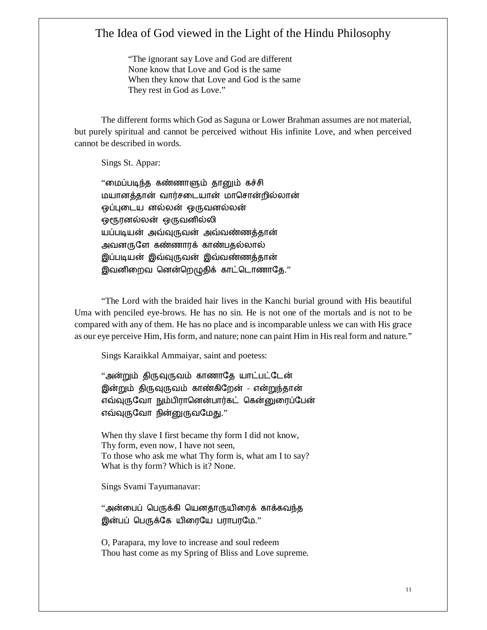"The ignorant say Love and God are different None know that Love and God is the same When they know that Love and God is the same They rest in God as Love."

The different forms which God as Saguna or Lower Brahman assumes are not material, but purely spiritual and cannot be perceived without His infinite Love, and when perceived cannot be described in words.

Sings St. Appar:

"மைப்படிந்த கண்ணாளும் தானும் கச்சி மயானத்தான் வார்சடையான் மாசொன்றில்லான் ஒப்புடைய னல்லன் ஒருவனல்லன் ஒரூரனல்லன் ஒருவனில்லி யப்படியன் அவ்வுருவன் அவ்வண்ணத்தான் அவனருளே கண்ணாரக் காண்பதல்லால் இப்படியன் இவ்வுருவன் இவ்வண்ணத்தான் இவனிறைவ னென்றெழுதிக் காட்டொணாதே."

"The Lord with the braided hair lives in the Kanchi burial ground with His beautiful Uma with penciled eye-brows. He has no sin. He is not one of the mortals and is not to be compared with any of them. He has no place and is incomparable unless we can with His grace as our eye perceive Him, His form, and nature; none can paint Him in His real form and nature."

Sings Karaikkal Ammaiyar, saint and poetess:

"அன்றும் திருவுருவம் காணாதே யாட்பட்டேன் இன்றும் திருவுருவம் காண்கிறேன் - என்றுந்தான் எவ்வுருவோ நும்பிரானென்பார்கட் கென்னுரைப்பேன் எவ்வுருவோ நின்னுருவமேது."

When thy slave I first became thy form I did not know, Thy form, even now, I have not seen, To those who ask me what Thy form is, what am I to say? What is thy form? Which is it? None.

Sings Svami Tayumanavar:

"அன்பைப் பெருக்கி யெனதாருயிரைக் காக்கவந்த இன்பப் பெருக்கே யிரையே பராபரமே."

O, Parapara, my love to increase and soul redeem Thou hast come as my Spring of Bliss and Love supreme.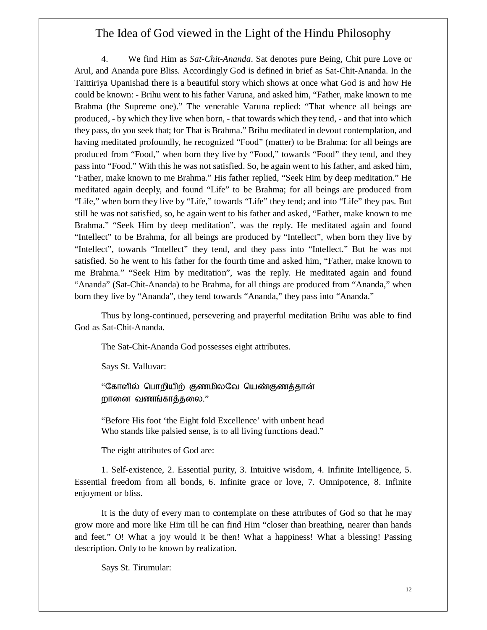4. We find Him as *Sat-Chit-Ananda*. Sat denotes pure Being, Chit pure Love or Arul, and Ananda pure Bliss. Accordingly God is defined in brief as Sat-Chit-Ananda. In the Taittiriya Upanishad there is a beautiful story which shows at once what God is and how He could be known: - Brihu went to his father Varuna, and asked him, "Father, make known to me Brahma (the Supreme one)." The venerable Varuna replied: "That whence all beings are produced, - by which they live when born, - that towards which they tend, - and that into which they pass, do you seek that; for That is Brahma." Brihu meditated in devout contemplation, and having meditated profoundly, he recognized "Food" (matter) to be Brahma: for all beings are produced from "Food," when born they live by "Food," towards "Food" they tend, and they pass into "Food." With this he was not satisfied. So, he again went to his father, and asked him, "Father, make known to me Brahma." His father replied, "Seek Him by deep meditation." He meditated again deeply, and found "Life" to be Brahma; for all beings are produced from "Life," when born they live by "Life," towards "Life" they tend; and into "Life" they pas. But still he was not satisfied, so, he again went to his father and asked, "Father, make known to me Brahma." "Seek Him by deep meditation", was the reply. He meditated again and found "Intellect" to be Brahma, for all beings are produced by "Intellect", when born they live by "Intellect", towards "Intellect" they tend, and they pass into "Intellect." But he was not satisfied. So he went to his father for the fourth time and asked him, "Father, make known to me Brahma." "Seek Him by meditation", was the reply. He meditated again and found "Ananda" (Sat-Chit-Ananda) to be Brahma, for all things are produced from "Ananda," when born they live by "Ananda", they tend towards "Ananda," they pass into "Ananda."

Thus by long-continued, persevering and prayerful meditation Brihu was able to find God as Sat-Chit-Ananda.

The Sat-Chit-Ananda God possesses eight attributes.

Says St. Valluvar:

"கோளில் பொறியிற் குணமிலவே யெண்குணத்தான் றானை வணங்காத்தலை."

"Before His foot 'the Eight fold Excellence' with unbent head Who stands like palsied sense, is to all living functions dead."

The eight attributes of God are:

1. Self-existence, 2. Essential purity, 3. Intuitive wisdom, 4. Infinite Intelligence, 5. Essential freedom from all bonds, 6. Infinite grace or love, 7. Omnipotence, 8. Infinite enjoyment or bliss.

It is the duty of every man to contemplate on these attributes of God so that he may grow more and more like Him till he can find Him "closer than breathing, nearer than hands and feet." O! What a joy would it be then! What a happiness! What a blessing! Passing description. Only to be known by realization.

Says St. Tirumular: